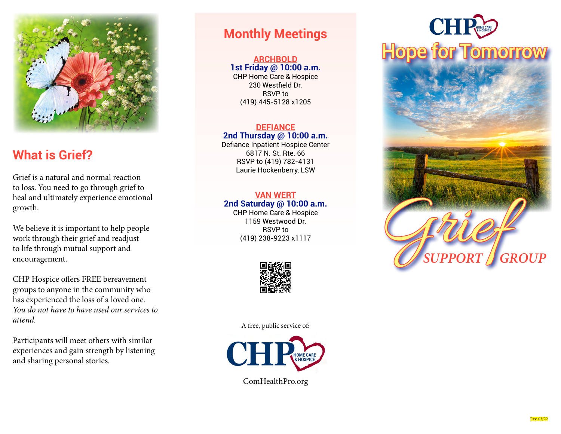

# **What is Grief?**

Grief is a natural and normal reaction to loss. You need to go through grief to heal and ultimately experience emotional growth.

We believe it is important to help people work through their grief and readjust to life through mutual support and encouragement.

CHP Hospice offers FREE bereavement groups to anyone in the community who has experienced the loss of a loved one. *You do not have to have used our services to attend.*

Participants will meet others with similar experiences and gain strength by listening and sharing personal stories.

## **Monthly Meetings**

## **ARCHBOLD**

**1st Friday @ 10:00 a.m.** CHP Home Care & Hospice 230 Westfield Dr. RSVP to (419) 445-5128 x1205

## **DEFIANCE**

### **2nd Thursday @ 10:00 a.m.**

Defiance Inpatient Hospice Center 6817 N. St. Rte. 66 RSVP to (419) 782-4131 Laurie Hockenberry, LSW

#### **VAN WERT 2nd Saturday @ 10:00 a.m.**

CHP Home Care & Hospice 1159 Westwood Dr. RSVP to (419) 238-9223 x1117



A free, public service of**:**



# **Hope for Tomorrow**